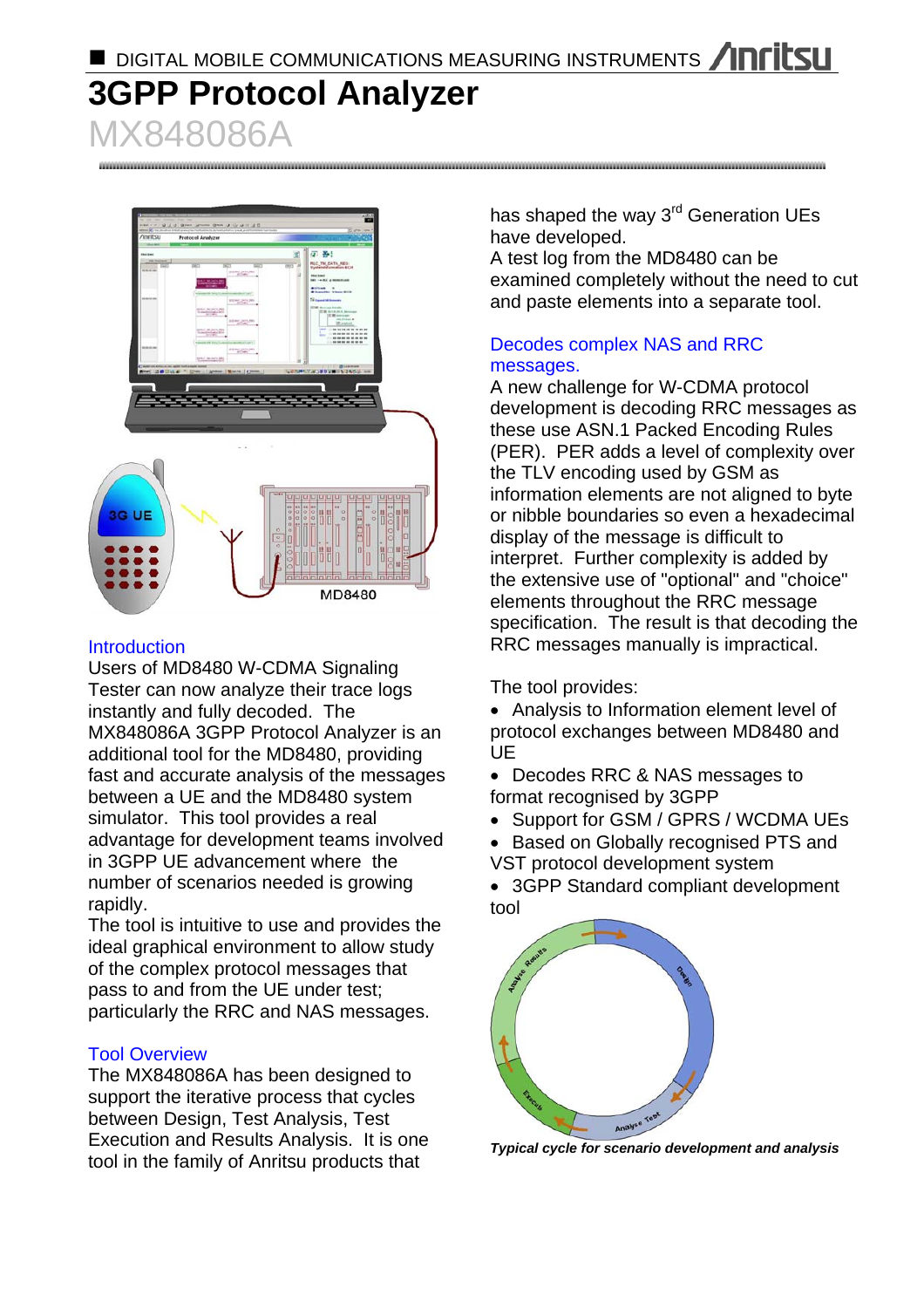**DIGITAL MOBILE COMMUNICATIONS MEASURING INSTRUMENTS ANTILSUM** 

# **3GPP Protocol Analyzer**  MX848086A

第 卷 3G UE MD8480

# **Introduction**

Users of MD8480 W-CDMA Signaling Tester can now analyze their trace logs instantly and fully decoded. The MX848086A 3GPP Protocol Analyzer is an additional tool for the MD8480, providing fast and accurate analysis of the messages between a UE and the MD8480 system simulator. This tool provides a real advantage for development teams involved in 3GPP UE advancement where the number of scenarios needed is growing rapidly.

The tool is intuitive to use and provides the ideal graphical environment to allow study of the complex protocol messages that pass to and from the UE under test; particularly the RRC and NAS messages.

# Tool Overview

The MX848086A has been designed to support the iterative process that cycles between Design, Test Analysis, Test Execution and Results Analysis. It is one tool in the family of Anritsu products that

has shaped the way 3<sup>rd</sup> Generation UEs have developed.

A test log from the MD8480 can be examined completely without the need to cut and paste elements into a separate tool.

## Decodes complex NAS and RRC messages.

A new challenge for W-CDMA protocol development is decoding RRC messages as these use ASN.1 Packed Encoding Rules (PER). PER adds a level of complexity over the TLV encoding used by GSM as information elements are not aligned to byte or nibble boundaries so even a hexadecimal display of the message is difficult to interpret. Further complexity is added by the extensive use of "optional" and "choice" elements throughout the RRC message specification. The result is that decoding the RRC messages manually is impractical.

The tool provides:

• Analysis to Information element level of protocol exchanges between MD8480 and UE

• Decodes RRC & NAS messages to format recognised by 3GPP

• Support for GSM / GPRS / WCDMA UEs

• Based on Globally recognised PTS and VST protocol development system

• 3GPP Standard compliant development tool



*Typical cycle for scenario development and analysis*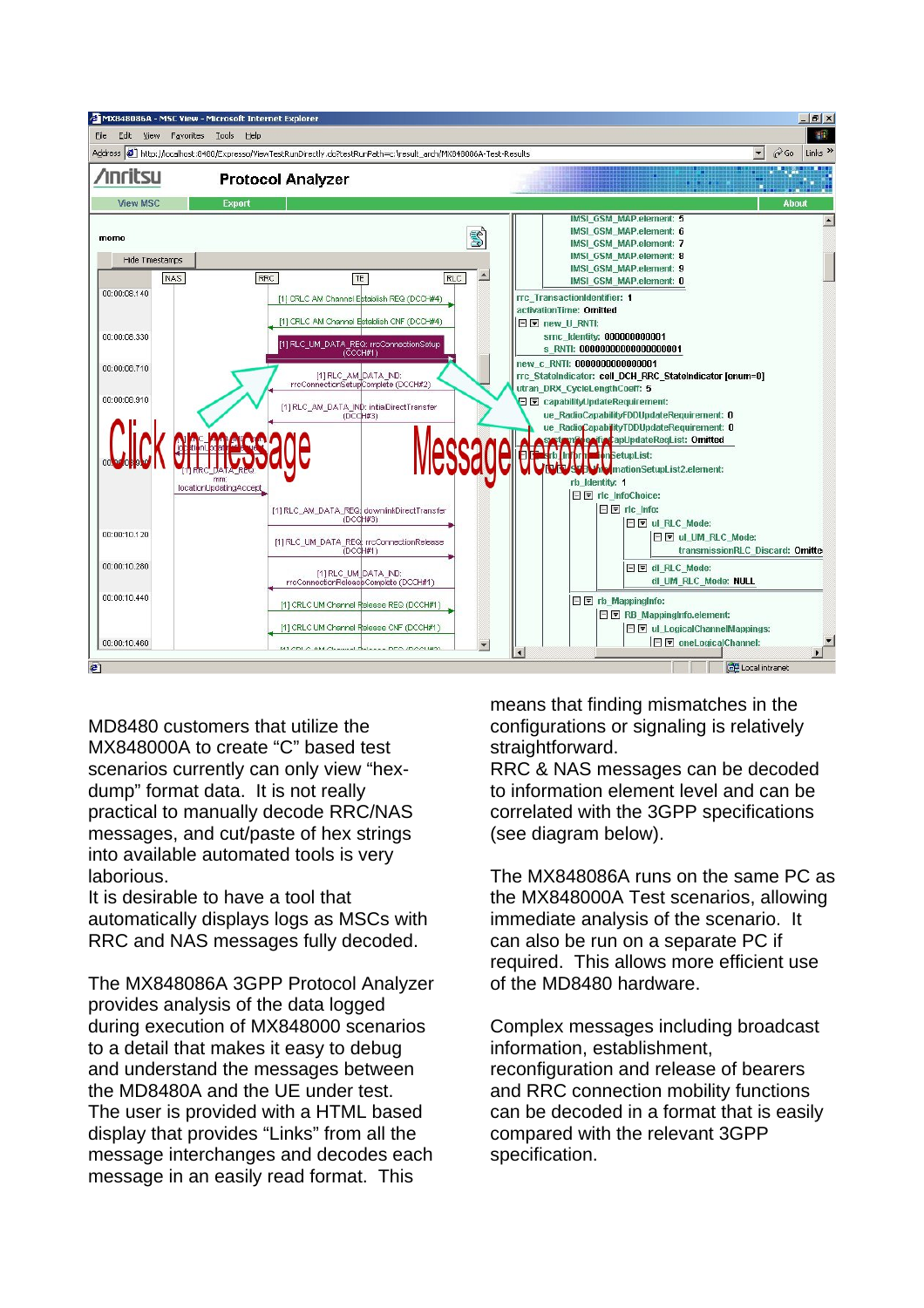

MD8480 customers that utilize the MX848000A to create "C" based test scenarios currently can only view "hexdump" format data. It is not really practical to manually decode RRC/NAS messages, and cut/paste of hex strings into available automated tools is very laborious.

It is desirable to have a tool that automatically displays logs as MSCs with RRC and NAS messages fully decoded.

The MX848086A 3GPP Protocol Analyzer provides analysis of the data logged during execution of MX848000 scenarios to a detail that makes it easy to debug and understand the messages between the MD8480A and the UE under test. The user is provided with a HTML based display that provides "Links" from all the message interchanges and decodes each message in an easily read format. This

means that finding mismatches in the configurations or signaling is relatively straightforward.

RRC & NAS messages can be decoded to information element level and can be correlated with the 3GPP specifications (see diagram below).

The MX848086A runs on the same PC as the MX848000A Test scenarios, allowing immediate analysis of the scenario. It can also be run on a separate PC if required. This allows more efficient use of the MD8480 hardware.

Complex messages including broadcast information, establishment, reconfiguration and release of bearers and RRC connection mobility functions can be decoded in a format that is easily compared with the relevant 3GPP specification.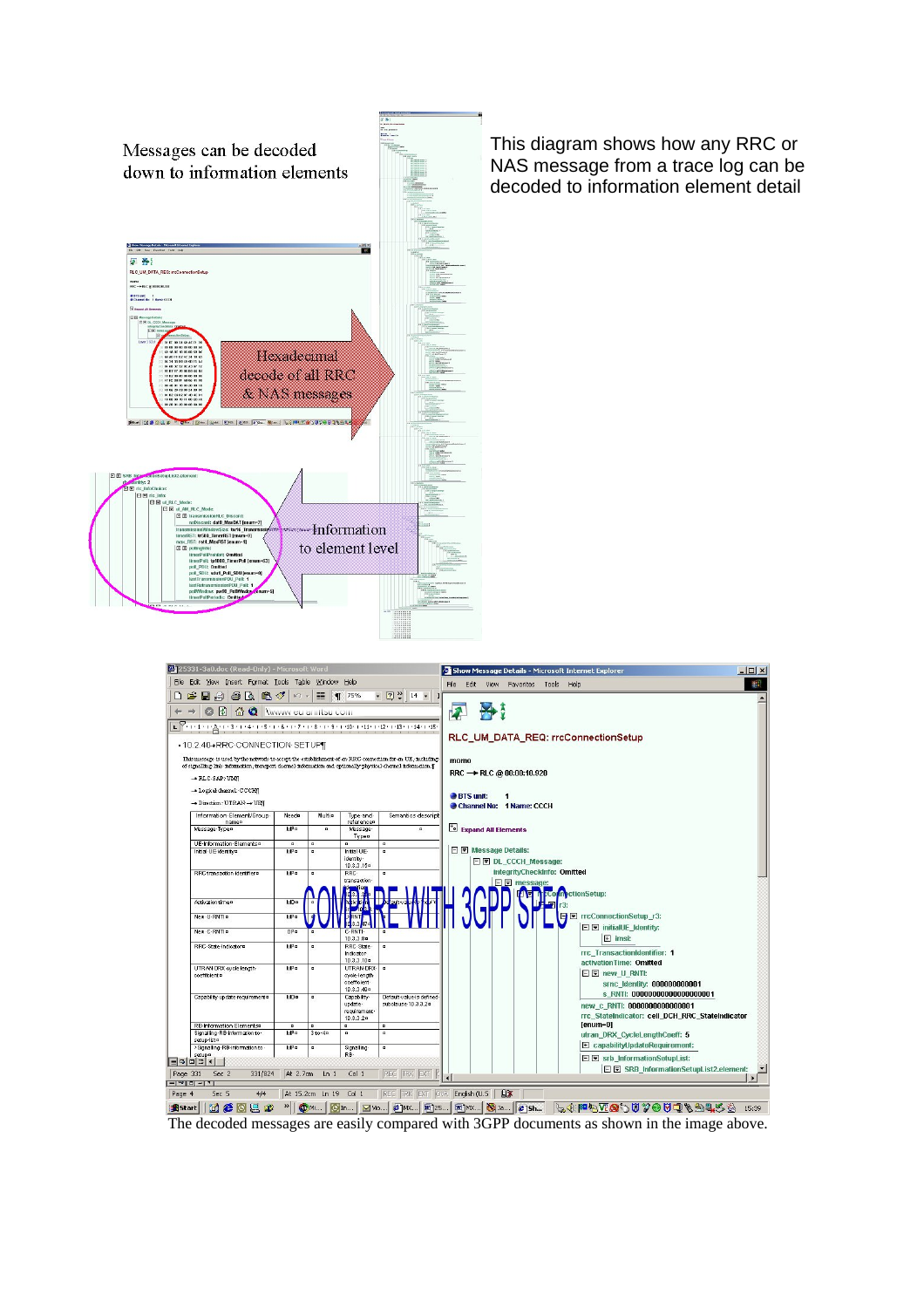



**Assart** 10 **6**  $\text{OR}$  and  $\text{OR}$  10 m. 10 m. 10 m. 10 m. 10 m. 10 m. 10 m. 10 m. 10 m. 10 m. 10 m. 10 m. 10 m. 10 m. 10 m. 10 m. 10 m. 10 m. 10 m. 10 m. 10 m. 10 m. 10 m. 10 m. 10 m. 10 m. 10 m. 10 m. 10 m. 10 m. 10 m.